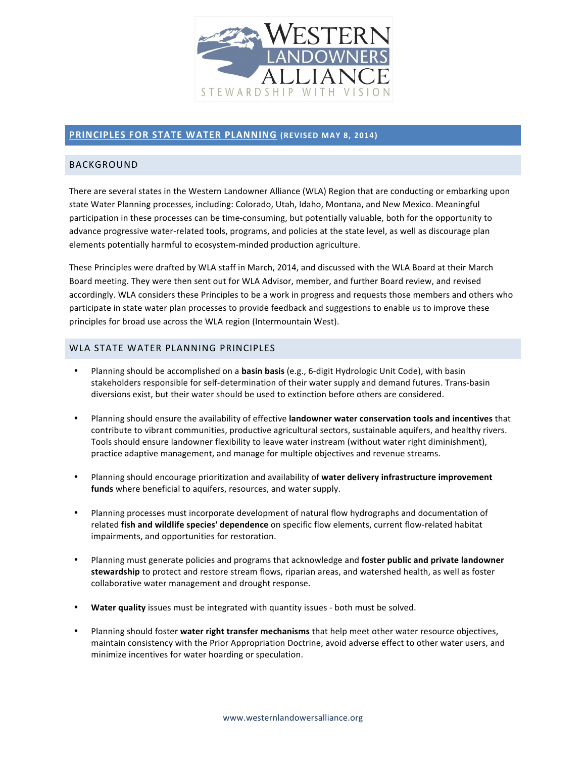

# **PRINCIPLES FOR STATE WATER PLANNING** (REVISED MAY 8, 2014)

## BACKGROUND

There are several states in the Western Landowner Alliance (WLA) Region that are conducting or embarking upon state Water Planning processes, including: Colorado, Utah, Idaho, Montana, and New Mexico. Meaningful participation in these processes can be time-consuming, but potentially valuable, both for the opportunity to advance progressive water-related tools, programs, and policies at the state level, as well as discourage plan elements potentially harmful to ecosystem-minded production agriculture.

These Principles were drafted by WLA staff in March, 2014, and discussed with the WLA Board at their March Board meeting. They were then sent out for WLA Advisor, member, and further Board review, and revised accordingly. WLA considers these Principles to be a work in progress and requests those members and others who participate in state water plan processes to provide feedback and suggestions to enable us to improve these principles for broad use across the WLA region (Intermountain West).

#### WLA STATE WATER PLANNING PRINCIPLES

- Planning should be accomplished on a **basin basis** (e.g., 6-digit Hydrologic Unit Code), with basin stakeholders responsible for self-determination of their water supply and demand futures. Trans-basin diversions exist, but their water should be used to extinction before others are considered.
- Planning should ensure the availability of effective **landowner water conservation tools and incentives** that contribute to vibrant communities, productive agricultural sectors, sustainable aquifers, and healthy rivers. Tools should ensure landowner flexibility to leave water instream (without water right diminishment), practice adaptive management, and manage for multiple objectives and revenue streams.
- Planning should encourage prioritization and availability of water delivery infrastructure improvement funds where beneficial to aquifers, resources, and water supply.
- Planning processes must incorporate development of natural flow hydrographs and documentation of related **fish and wildlife species' dependence** on specific flow elements, current flow-related habitat impairments, and opportunities for restoration.
- Planning must generate policies and programs that acknowledge and **foster public and private landowner** stewardship to protect and restore stream flows, riparian areas, and watershed health, as well as foster collaborative water management and drought response.
- **Water quality** issues must be integrated with quantity issues both must be solved.
- Planning should foster water right transfer mechanisms that help meet other water resource objectives, maintain consistency with the Prior Appropriation Doctrine, avoid adverse effect to other water users, and minimize incentives for water hoarding or speculation.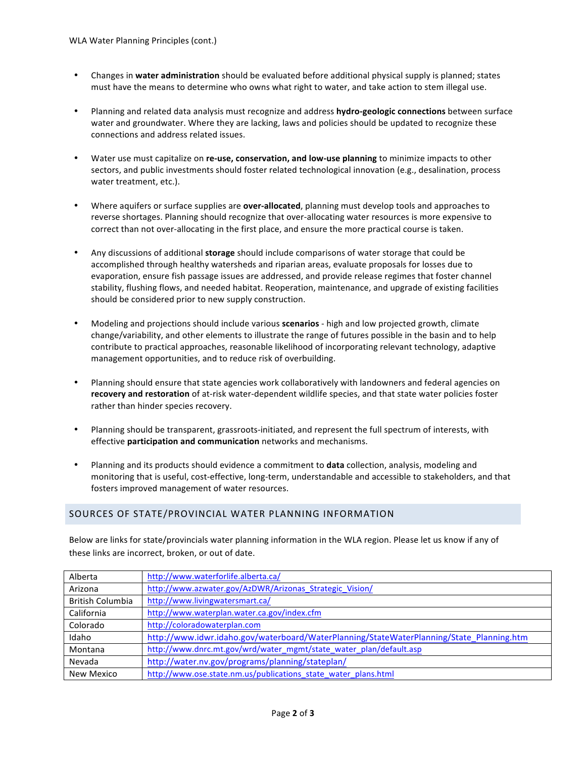- Changes in water administration should be evaluated before additional physical supply is planned; states must have the means to determine who owns what right to water, and take action to stem illegal use.
- Planning and related data analysis must recognize and address hydro-geologic connections between surface water and groundwater. Where they are lacking, laws and policies should be updated to recognize these connections and address related issues.
- Water use must capitalize on re-use, conservation, and low-use planning to minimize impacts to other sectors, and public investments should foster related technological innovation (e.g., desalination, process water treatment, etc.).
- Where aquifers or surface supplies are **over-allocated**, planning must develop tools and approaches to reverse shortages. Planning should recognize that over-allocating water resources is more expensive to correct than not over-allocating in the first place, and ensure the more practical course is taken.
- Any discussions of additional storage should include comparisons of water storage that could be accomplished through healthy watersheds and riparian areas, evaluate proposals for losses due to evaporation, ensure fish passage issues are addressed, and provide release regimes that foster channel stability, flushing flows, and needed habitat. Reoperation, maintenance, and upgrade of existing facilities should be considered prior to new supply construction.
- Modeling and projections should include various **scenarios** high and low projected growth, climate change/variability, and other elements to illustrate the range of futures possible in the basin and to help contribute to practical approaches, reasonable likelihood of incorporating relevant technology, adaptive management opportunities, and to reduce risk of overbuilding.
- Planning should ensure that state agencies work collaboratively with landowners and federal agencies on recovery and restoration of at-risk water-dependent wildlife species, and that state water policies foster rather than hinder species recovery.
- Planning should be transparent, grassroots-initiated, and represent the full spectrum of interests, with effective **participation and communication** networks and mechanisms.
- Planning and its products should evidence a commitment to **data** collection, analysis, modeling and monitoring that is useful, cost-effective, long-term, understandable and accessible to stakeholders, and that fosters improved management of water resources.

#### SOURCES OF STATE/PROVINCIAL WATER PLANNING INFORMATION

Below are links for state/provincials water planning information in the WLA region. Please let us know if any of these links are incorrect, broken, or out of date.

| Alberta                 | http://www.waterforlife.alberta.ca/                                                      |  |  |
|-------------------------|------------------------------------------------------------------------------------------|--|--|
| Arizona                 | http://www.azwater.gov/AzDWR/Arizonas_Strategic_Vision/                                  |  |  |
| <b>British Columbia</b> | http://www.livingwatersmart.ca/                                                          |  |  |
| California              | http://www.waterplan.water.ca.gov/index.cfm                                              |  |  |
| Colorado                | http://coloradowaterplan.com                                                             |  |  |
| Idaho                   | http://www.idwr.idaho.gov/waterboard/WaterPlanning/StateWaterPlanning/State Planning.htm |  |  |
| Montana                 | http://www.dnrc.mt.gov/wrd/water_mgmt/state_water_plan/default.asp                       |  |  |
| Nevada                  | http://water.nv.gov/programs/planning/stateplan/                                         |  |  |
| New Mexico              | http://www.ose.state.nm.us/publications state water plans.html                           |  |  |